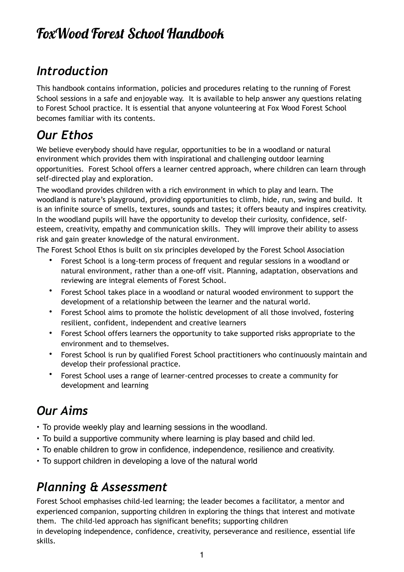# FoWood Forest School Handbook

## *Introduction*

This handbook contains information, policies and procedures relating to the running of Forest School sessions in a safe and enjoyable way. It is available to help answer any questions relating to Forest School practice. It is essential that anyone volunteering at Fox Wood Forest School becomes familiar with its contents.

# *Our Ethos*

We believe everybody should have regular, opportunities to be in a woodland or natural environment which provides them with inspirational and challenging outdoor learning opportunities. Forest School offers a learner centred approach, where children can learn through self-directed play and exploration.

The woodland provides children with a rich environment in which to play and learn. The woodland is nature's playground, providing opportunities to climb, hide, run, swing and build. It is an infinite source of smells, textures, sounds and tastes; it offers beauty and inspires creativity. In the woodland pupils will have the opportunity to develop their curiosity, confidence, selfesteem, creativity, empathy and communication skills. They will improve their ability to assess risk and gain greater knowledge of the natural environment.

The Forest School Ethos is built on six principles developed by the Forest School Association

- Forest School is a long-term process of frequent and regular sessions in a woodland or natural environment, rather than a one-off visit. Planning, adaptation, observations and reviewing are integral elements of Forest School.
- Forest School takes place in a woodland or natural wooded environment to support the development of a relationship between the learner and the natural world.
- Forest School aims to promote the holistic development of all those involved, fostering resilient, confident, independent and creative learners
- Forest School offers learners the opportunity to take supported risks appropriate to the environment and to themselves.
- Forest School is run by qualified Forest School practitioners who continuously maintain and develop their professional practice.
- Forest School uses a range of learner-centred processes to create a community for development and learning

#### *Our Aims*

- **•** To provide weekly play and learning sessions in the woodland.
- **•** To build a supportive community where learning is play based and child led.
- **•** To enable children to grow in confidence, independence, resilience and creativity.
- **•** To support children in developing a love of the natural world

# *Planning & Assessment*

Forest School emphasises child-led learning; the leader becomes a facilitator, a mentor and experienced companion, supporting children in exploring the things that interest and motivate them. The child-led approach has significant benefits; supporting children

in developing independence, confidence, creativity, perseverance and resilience, essential life skills.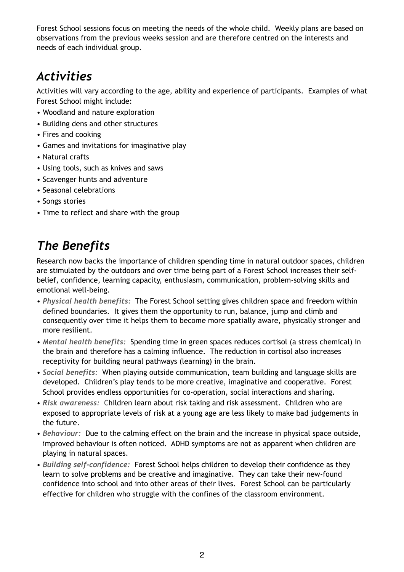Forest School sessions focus on meeting the needs of the whole child. Weekly plans are based on observations from the previous weeks session and are therefore centred on the interests and needs of each individual group.

# *Activities*

Activities will vary according to the age, ability and experience of participants. Examples of what Forest School might include:

- Woodland and nature exploration
- Building dens and other structures
- Fires and cooking
- Games and invitations for imaginative play
- Natural crafts
- Using tools, such as knives and saws
- Scavenger hunts and adventure
- Seasonal celebrations
- Songs stories
- Time to reflect and share with the group

# *The Benefits*

Research now backs the importance of children spending time in natural outdoor spaces, children are stimulated by the outdoors and over time being part of a Forest School increases their selfbelief, confidence, learning capacity, enthusiasm, communication, problem-solving skills and emotional well-being.

- *Physical health benefits:* The Forest School setting gives children space and freedom within defined boundaries. It gives them the opportunity to run, balance, jump and climb and consequently over time it helps them to become more spatially aware, physically stronger and more resilient.
- *Mental health benefits:* Spending time in green spaces reduces cortisol (a stress chemical) in the brain and therefore has a calming influence. The reduction in cortisol also increases receptivity for building neural pathways (learning) in the brain.
- *Social benefits:* When playing outside communication, team building and language skills are developed. Children's play tends to be more creative, imaginative and cooperative. Forest School provides endless opportunities for co-operation, social interactions and sharing.
- *Risk awareness:* Children learn about risk taking and risk assessment. Children who are exposed to appropriate levels of risk at a young age are less likely to make bad judgements in the future.
- *Behaviour:* Due to the calming effect on the brain and the increase in physical space outside, improved behaviour is often noticed. ADHD symptoms are not as apparent when children are playing in natural spaces.
- *Building self-confidence:*Forest School helps children to develop their confidence as they learn to solve problems and be creative and imaginative. They can take their new-found confidence into school and into other areas of their lives. Forest School can be particularly effective for children who struggle with the confines of the classroom environment.